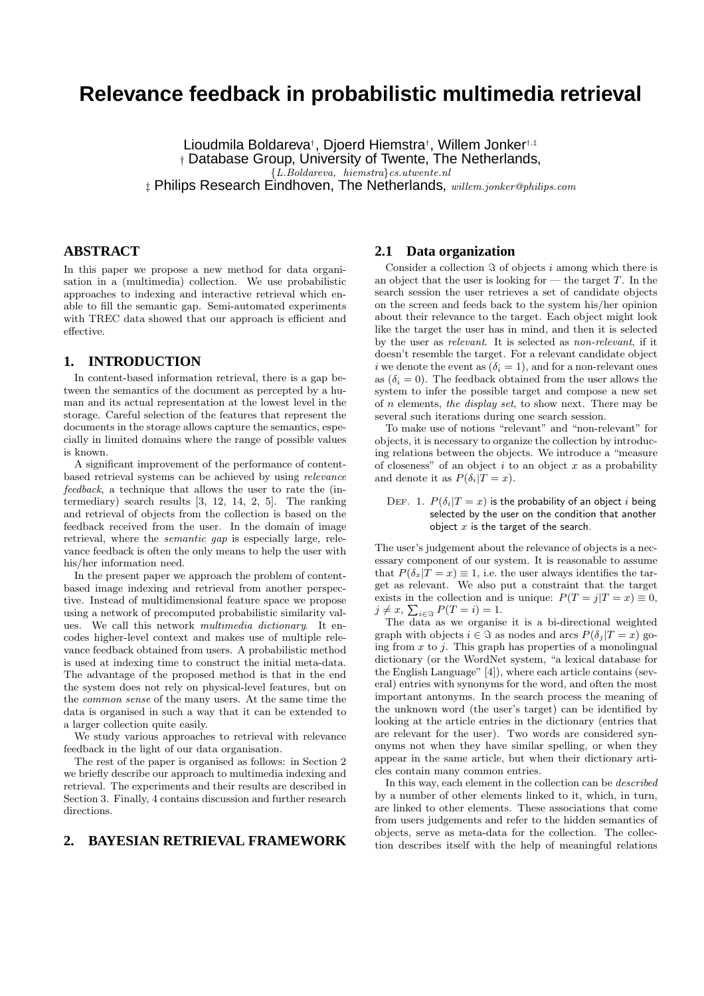# **Relevance feedback in probabilistic multimedia retrieval**

Lioudmila Boldareva<sup>†</sup>, Djoerd Hiemstra<sup>†</sup>, Willem Jonker<sup>†,‡</sup> † Database Group, University of Twente, The Netherlands, {L.Boldareva, hiemstra}cs.utwente.nl  $\ddagger$  Philips Research Eindhoven, The Netherlands, willem.jonker@philips.com

## **ABSTRACT**

In this paper we propose a new method for data organisation in a (multimedia) collection. We use probabilistic approaches to indexing and interactive retrieval which enable to fill the semantic gap. Semi-automated experiments with TREC data showed that our approach is efficient and effective.

### **1. INTRODUCTION**

In content-based information retrieval, there is a gap between the semantics of the document as percepted by a human and its actual representation at the lowest level in the storage. Careful selection of the features that represent the documents in the storage allows capture the semantics, especially in limited domains where the range of possible values is known.

A significant improvement of the performance of contentbased retrieval systems can be achieved by using relevance feedback, a technique that allows the user to rate the (intermediary) search results [3, 12, 14, 2, 5]. The ranking and retrieval of objects from the collection is based on the feedback received from the user. In the domain of image retrieval, where the semantic gap is especially large, relevance feedback is often the only means to help the user with his/her information need.

In the present paper we approach the problem of contentbased image indexing and retrieval from another perspective. Instead of multidimensional feature space we propose using a network of precomputed probabilistic similarity values. We call this network multimedia dictionary. It encodes higher-level context and makes use of multiple relevance feedback obtained from users. A probabilistic method is used at indexing time to construct the initial meta-data. The advantage of the proposed method is that in the end the system does not rely on physical-level features, but on the common sense of the many users. At the same time the data is organised in such a way that it can be extended to a larger collection quite easily.

We study various approaches to retrieval with relevance feedback in the light of our data organisation.

The rest of the paper is organised as follows: in Section 2 we briefly describe our approach to multimedia indexing and retrieval. The experiments and their results are described in Section 3. Finally, 4 contains discussion and further research directions.

## **2. BAYESIAN RETRIEVAL FRAMEWORK**

## **2.1 Data organization**

Consider a collection  $\Im$  of objects i among which there is an object that the user is looking for  $-$  the target T. In the search session the user retrieves a set of candidate objects on the screen and feeds back to the system his/her opinion about their relevance to the target. Each object might look like the target the user has in mind, and then it is selected by the user as relevant. It is selected as non-relevant, if it doesn't resemble the target. For a relevant candidate object i we denote the event as  $(\delta_i = 1)$ , and for a non-relevant ones as  $(\delta_i = 0)$ . The feedback obtained from the user allows the system to infer the possible target and compose a new set of n elements, the display set, to show next. There may be several such iterations during one search session.

To make use of notions "relevant" and "non-relevant" for objects, it is necessary to organize the collection by introducing relations between the objects. We introduce a "measure of closeness" of an object  $i$  to an object  $x$  as a probability and denote it as  $P(\delta_i | T = x)$ .

#### DEF. 1.  $P(\delta_i|T=x)$  is the probability of an object i being selected by the user on the condition that another object  $x$  is the target of the search.

The user's judgement about the relevance of objects is a necessary component of our system. It is reasonable to assume that  $P(\delta_x|T=x) \equiv 1$ , i.e. the user always identifies the target as relevant. We also put a constraint that the target exists in the collection and is unique:  $P(T = j | T = x) \equiv 0$ ,  $j \neq x$ ,  $\sum_{i \in \Im} P(T = i) = 1$ .

The data as we organise it is a bi-directional weighted graph with objects  $i \in \Im$  as nodes and arcs  $P(\delta_j | T = x)$  going from  $x$  to  $i$ . This graph has properties of a monolingual dictionary (or the WordNet system, "a lexical database for the English Language" [4]), where each article contains (several) entries with synonyms for the word, and often the most important antonyms. In the search process the meaning of the unknown word (the user's target) can be identified by looking at the article entries in the dictionary (entries that are relevant for the user). Two words are considered synonyms not when they have similar spelling, or when they appear in the same article, but when their dictionary articles contain many common entries.

In this way, each element in the collection can be described by a number of other elements linked to it, which, in turn, are linked to other elements. These associations that come from users judgements and refer to the hidden semantics of objects, serve as meta-data for the collection. The collection describes itself with the help of meaningful relations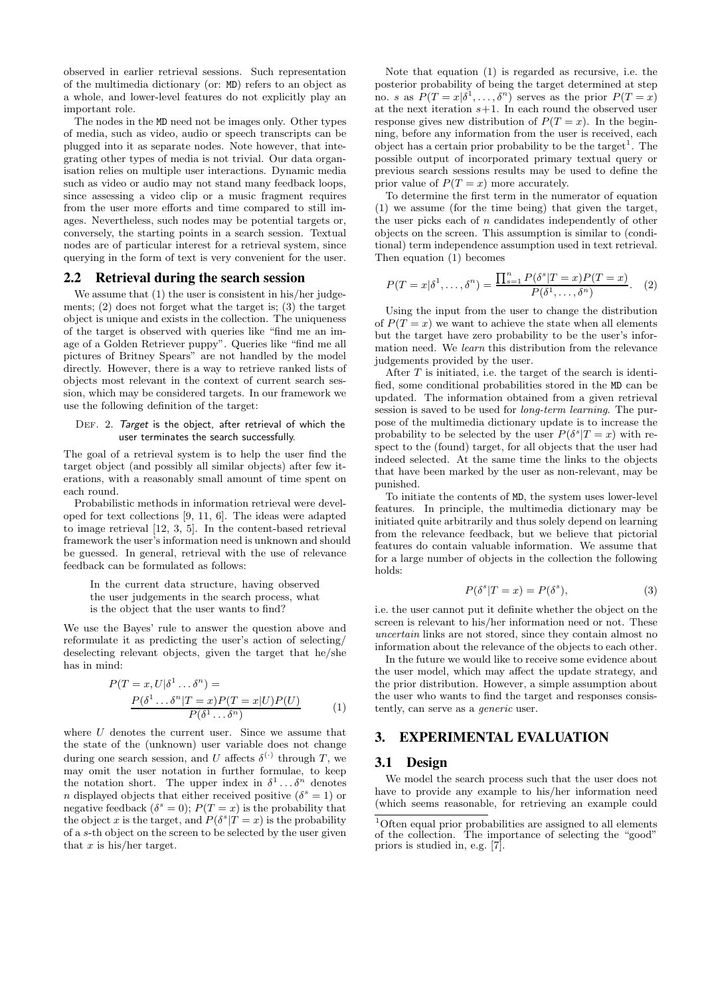observed in earlier retrieval sessions. Such representation of the multimedia dictionary (or: MD) refers to an object as a whole, and lower-level features do not explicitly play an important role.

The nodes in the MD need not be images only. Other types of media, such as video, audio or speech transcripts can be plugged into it as separate nodes. Note however, that integrating other types of media is not trivial. Our data organisation relies on multiple user interactions. Dynamic media such as video or audio may not stand many feedback loops, since assessing a video clip or a music fragment requires from the user more efforts and time compared to still images. Nevertheless, such nodes may be potential targets or, conversely, the starting points in a search session. Textual nodes are of particular interest for a retrieval system, since querying in the form of text is very convenient for the user.

#### 2.2 Retrieval during the search session

We assume that  $(1)$  the user is consistent in his/her judgements; (2) does not forget what the target is; (3) the target object is unique and exists in the collection. The uniqueness of the target is observed with queries like "find me an image of a Golden Retriever puppy". Queries like "find me all pictures of Britney Spears" are not handled by the model directly. However, there is a way to retrieve ranked lists of objects most relevant in the context of current search session, which may be considered targets. In our framework we use the following definition of the target:

#### DEF. 2. Target is the object, after retrieval of which the user terminates the search successfully.

The goal of a retrieval system is to help the user find the target object (and possibly all similar objects) after few iterations, with a reasonably small amount of time spent on each round.

Probabilistic methods in information retrieval were developed for text collections [9, 11, 6]. The ideas were adapted to image retrieval [12, 3, 5]. In the content-based retrieval framework the user's information need is unknown and should be guessed. In general, retrieval with the use of relevance feedback can be formulated as follows:

In the current data structure, having observed the user judgements in the search process, what is the object that the user wants to find?

We use the Bayes' rule to answer the question above and reformulate it as predicting the user's action of selecting/ deselecting relevant objects, given the target that he/she has in mind:

$$
P(T = x, U | \delta^{1} \dots \delta^{n}) =
$$
  
\n
$$
\frac{P(\delta^{1} \dots \delta^{n} | T = x) P(T = x | U) P(U)}{P(\delta^{1} \dots \delta^{n})}
$$
 (1)

where  $U$  denotes the current user. Since we assume that the state of the (unknown) user variable does not change during one search session, and U affects  $\delta^{(\cdot)}$  through T, we may omit the user notation in further formulae, to keep the notation short. The upper index in  $\delta^1 \dots \delta^n$  denotes n displayed objects that either received positive  $(\delta^s = 1)$  or negative feedback  $(\delta^s = 0)$ ;  $P(T = x)$  is the probability that the object x is the target, and  $P(\delta^s | T = x)$  is the probability of a s-th object on the screen to be selected by the user given that  $x$  is his/her target.

Note that equation (1) is regarded as recursive, i.e. the posterior probability of being the target determined at step no. s as  $P(T = x | \delta^1, \ldots, \delta^n)$  serves as the prior  $P(T = x)$ at the next iteration  $s+1$ . In each round the observed user response gives new distribution of  $P(T = x)$ . In the beginning, before any information from the user is received, each object has a certain prior probability to be the target<sup>1</sup>. The possible output of incorporated primary textual query or previous search sessions results may be used to define the prior value of  $P(T = x)$  more accurately.

To determine the first term in the numerator of equation (1) we assume (for the time being) that given the target, the user picks each of  $n$  candidates independently of other objects on the screen. This assumption is similar to (conditional) term independence assumption used in text retrieval. Then equation (1) becomes

$$
P(T = x | \delta^1, \dots, \delta^n) = \frac{\prod_{s=1}^n P(\delta^s | T = x) P(T = x)}{P(\delta^1, \dots, \delta^n)}.
$$
 (2)

Using the input from the user to change the distribution of  $P(T = x)$  we want to achieve the state when all elements but the target have zero probability to be the user's information need. We learn this distribution from the relevance judgements provided by the user.

After  $T$  is initiated, i.e. the target of the search is identified, some conditional probabilities stored in the MD can be updated. The information obtained from a given retrieval session is saved to be used for long-term learning. The purpose of the multimedia dictionary update is to increase the probability to be selected by the user  $P(\delta^s | T = x)$  with respect to the (found) target, for all objects that the user had indeed selected. At the same time the links to the objects that have been marked by the user as non-relevant, may be punished.

To initiate the contents of MD, the system uses lower-level features. In principle, the multimedia dictionary may be initiated quite arbitrarily and thus solely depend on learning from the relevance feedback, but we believe that pictorial features do contain valuable information. We assume that for a large number of objects in the collection the following holds:

$$
P(\delta^s | T = x) = P(\delta^s),\tag{3}
$$

i.e. the user cannot put it definite whether the object on the screen is relevant to his/her information need or not. These uncertain links are not stored, since they contain almost no information about the relevance of the objects to each other.

In the future we would like to receive some evidence about the user model, which may affect the update strategy, and the prior distribution. However, a simple assumption about the user who wants to find the target and responses consistently, can serve as a generic user.

### 3. EXPERIMENTAL EVALUATION

#### 3.1 Design

We model the search process such that the user does not have to provide any example to his/her information need (which seems reasonable, for retrieving an example could

<sup>&</sup>lt;sup>1</sup>Often equal prior probabilities are assigned to all elements of the collection. The importance of selecting the "good" priors is studied in, e.g. [7].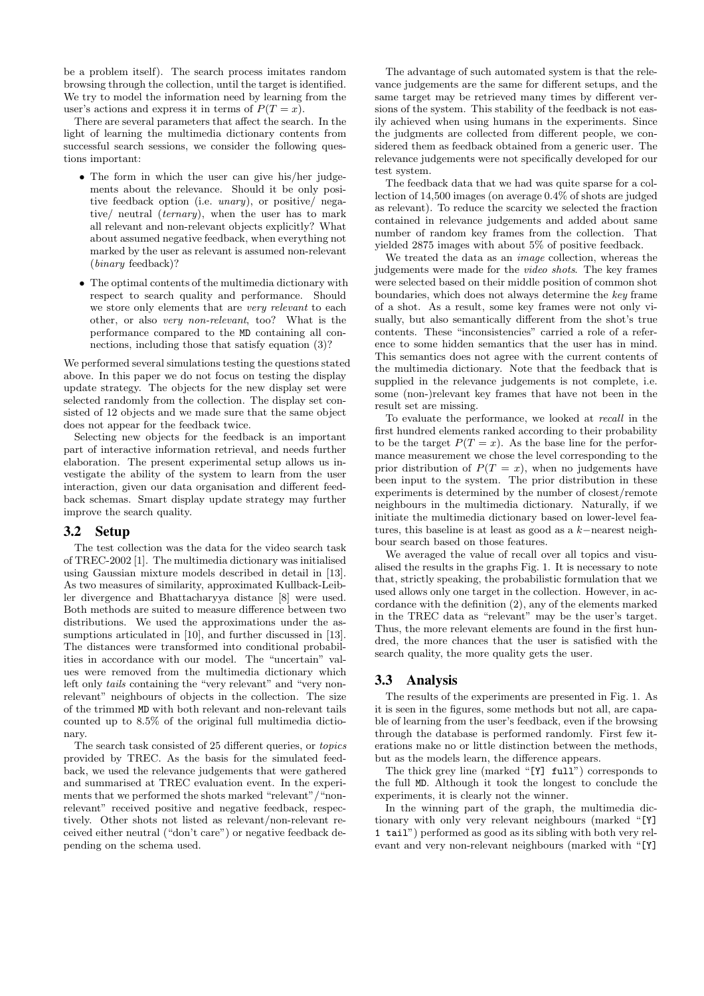be a problem itself). The search process imitates random browsing through the collection, until the target is identified. We try to model the information need by learning from the user's actions and express it in terms of  $P(T = x)$ .

There are several parameters that affect the search. In the light of learning the multimedia dictionary contents from successful search sessions, we consider the following questions important:

- The form in which the user can give his/her judgements about the relevance. Should it be only positive feedback option (i.e. unary), or positive/ negative/ neutral (*ternary*), when the user has to mark all relevant and non-relevant objects explicitly? What about assumed negative feedback, when everything not marked by the user as relevant is assumed non-relevant (binary feedback)?
- The optimal contents of the multimedia dictionary with respect to search quality and performance. Should we store only elements that are very relevant to each other, or also very non-relevant, too? What is the performance compared to the MD containing all connections, including those that satisfy equation (3)?

We performed several simulations testing the questions stated above. In this paper we do not focus on testing the display update strategy. The objects for the new display set were selected randomly from the collection. The display set consisted of 12 objects and we made sure that the same object does not appear for the feedback twice.

Selecting new objects for the feedback is an important part of interactive information retrieval, and needs further elaboration. The present experimental setup allows us investigate the ability of the system to learn from the user interaction, given our data organisation and different feedback schemas. Smart display update strategy may further improve the search quality.

## 3.2 Setup

The test collection was the data for the video search task of TREC-2002 [1]. The multimedia dictionary was initialised using Gaussian mixture models described in detail in [13]. As two measures of similarity, approximated Kullback-Leibler divergence and Bhattacharyya distance [8] were used. Both methods are suited to measure difference between two distributions. We used the approximations under the assumptions articulated in [10], and further discussed in [13]. The distances were transformed into conditional probabilities in accordance with our model. The "uncertain" values were removed from the multimedia dictionary which left only tails containing the "very relevant" and "very nonrelevant" neighbours of objects in the collection. The size of the trimmed MD with both relevant and non-relevant tails counted up to 8.5% of the original full multimedia dictionary.

The search task consisted of 25 different queries, or topics provided by TREC. As the basis for the simulated feedback, we used the relevance judgements that were gathered and summarised at TREC evaluation event. In the experiments that we performed the shots marked "relevant"/"nonrelevant" received positive and negative feedback, respectively. Other shots not listed as relevant/non-relevant received either neutral ("don't care") or negative feedback depending on the schema used.

The advantage of such automated system is that the relevance judgements are the same for different setups, and the same target may be retrieved many times by different versions of the system. This stability of the feedback is not easily achieved when using humans in the experiments. Since the judgments are collected from different people, we considered them as feedback obtained from a generic user. The relevance judgements were not specifically developed for our test system.

The feedback data that we had was quite sparse for a collection of 14,500 images (on average 0.4% of shots are judged as relevant). To reduce the scarcity we selected the fraction contained in relevance judgements and added about same number of random key frames from the collection. That yielded 2875 images with about 5% of positive feedback.

We treated the data as an *image* collection, whereas the judgements were made for the video shots. The key frames were selected based on their middle position of common shot boundaries, which does not always determine the key frame of a shot. As a result, some key frames were not only visually, but also semantically different from the shot's true contents. These "inconsistencies" carried a role of a reference to some hidden semantics that the user has in mind. This semantics does not agree with the current contents of the multimedia dictionary. Note that the feedback that is supplied in the relevance judgements is not complete, i.e. some (non-)relevant key frames that have not been in the result set are missing.

To evaluate the performance, we looked at recall in the first hundred elements ranked according to their probability to be the target  $P(T = x)$ . As the base line for the performance measurement we chose the level corresponding to the prior distribution of  $P(T = x)$ , when no judgements have been input to the system. The prior distribution in these experiments is determined by the number of closest/remote neighbours in the multimedia dictionary. Naturally, if we initiate the multimedia dictionary based on lower-level features, this baseline is at least as good as a k−nearest neighbour search based on those features.

We averaged the value of recall over all topics and visualised the results in the graphs Fig. 1. It is necessary to note that, strictly speaking, the probabilistic formulation that we used allows only one target in the collection. However, in accordance with the definition (2), any of the elements marked in the TREC data as "relevant" may be the user's target. Thus, the more relevant elements are found in the first hundred, the more chances that the user is satisfied with the search quality, the more quality gets the user.

## 3.3 Analysis

The results of the experiments are presented in Fig. 1. As it is seen in the figures, some methods but not all, are capable of learning from the user's feedback, even if the browsing through the database is performed randomly. First few iterations make no or little distinction between the methods, but as the models learn, the difference appears.

The thick grey line (marked "[Y] full") corresponds to the full MD. Although it took the longest to conclude the experiments, it is clearly not the winner.

In the winning part of the graph, the multimedia dictionary with only very relevant neighbours (marked "[Y] 1 tail") performed as good as its sibling with both very relevant and very non-relevant neighbours (marked with "[Y]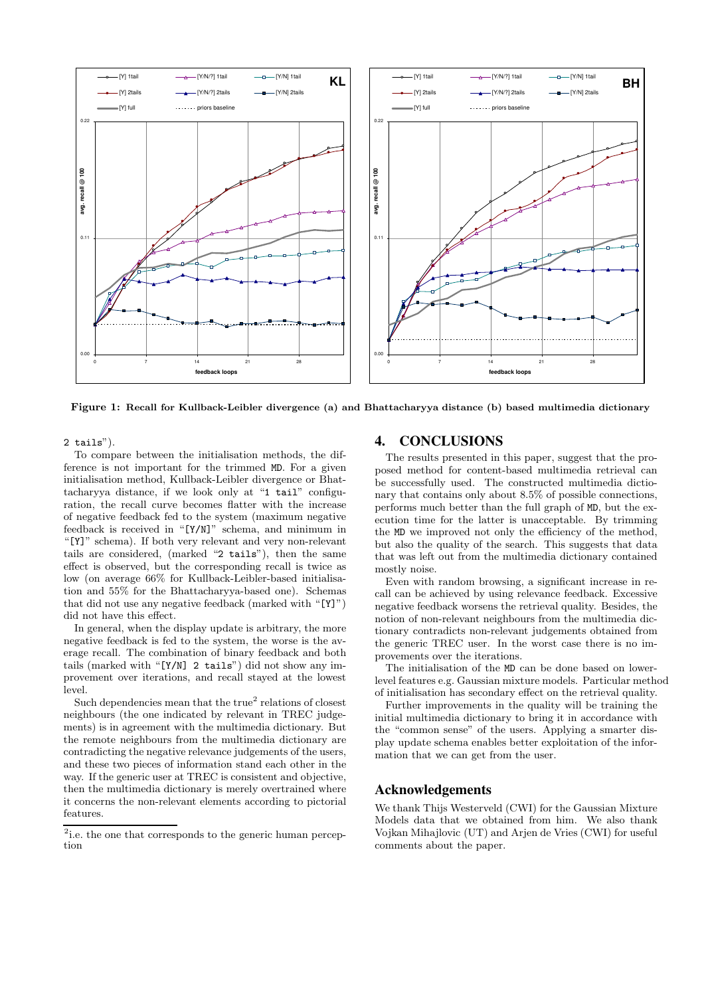

Figure 1: Recall for Kullback-Leibler divergence (a) and Bhattacharyya distance (b) based multimedia dictionary

2 tails").

To compare between the initialisation methods, the difference is not important for the trimmed MD. For a given initialisation method, Kullback-Leibler divergence or Bhattacharyya distance, if we look only at "1 tail" configuration, the recall curve becomes flatter with the increase of negative feedback fed to the system (maximum negative feedback is received in "[Y/N]" schema, and minimum in "[Y]" schema). If both very relevant and very non-relevant tails are considered, (marked "2 tails"), then the same effect is observed, but the corresponding recall is twice as low (on average 66% for Kullback-Leibler-based initialisation and 55% for the Bhattacharyya-based one). Schemas that did not use any negative feedback (marked with "[Y]") did not have this effect.

In general, when the display update is arbitrary, the more negative feedback is fed to the system, the worse is the average recall. The combination of binary feedback and both tails (marked with "[Y/N] 2 tails") did not show any improvement over iterations, and recall stayed at the lowest level.

Such dependencies mean that the true<sup>2</sup> relations of closest neighbours (the one indicated by relevant in TREC judgements) is in agreement with the multimedia dictionary. But the remote neighbours from the multimedia dictionary are contradicting the negative relevance judgements of the users, and these two pieces of information stand each other in the way. If the generic user at TREC is consistent and objective, then the multimedia dictionary is merely overtrained where it concerns the non-relevant elements according to pictorial features.

## 4. CONCLUSIONS

The results presented in this paper, suggest that the proposed method for content-based multimedia retrieval can be successfully used. The constructed multimedia dictionary that contains only about 8.5% of possible connections, performs much better than the full graph of MD, but the execution time for the latter is unacceptable. By trimming the MD we improved not only the efficiency of the method, but also the quality of the search. This suggests that data that was left out from the multimedia dictionary contained mostly noise.

Even with random browsing, a significant increase in recall can be achieved by using relevance feedback. Excessive negative feedback worsens the retrieval quality. Besides, the notion of non-relevant neighbours from the multimedia dictionary contradicts non-relevant judgements obtained from the generic TREC user. In the worst case there is no improvements over the iterations.

The initialisation of the MD can be done based on lowerlevel features e.g. Gaussian mixture models. Particular method of initialisation has secondary effect on the retrieval quality.

Further improvements in the quality will be training the initial multimedia dictionary to bring it in accordance with the "common sense" of the users. Applying a smarter display update schema enables better exploitation of the information that we can get from the user.

## Acknowledgements

We thank Thijs Westerveld (CWI) for the Gaussian Mixture Models data that we obtained from him. We also thank Vojkan Mihajlovic (UT) and Arjen de Vries (CWI) for useful comments about the paper.

<sup>&</sup>lt;sup>2</sup>i.e. the one that corresponds to the generic human perception